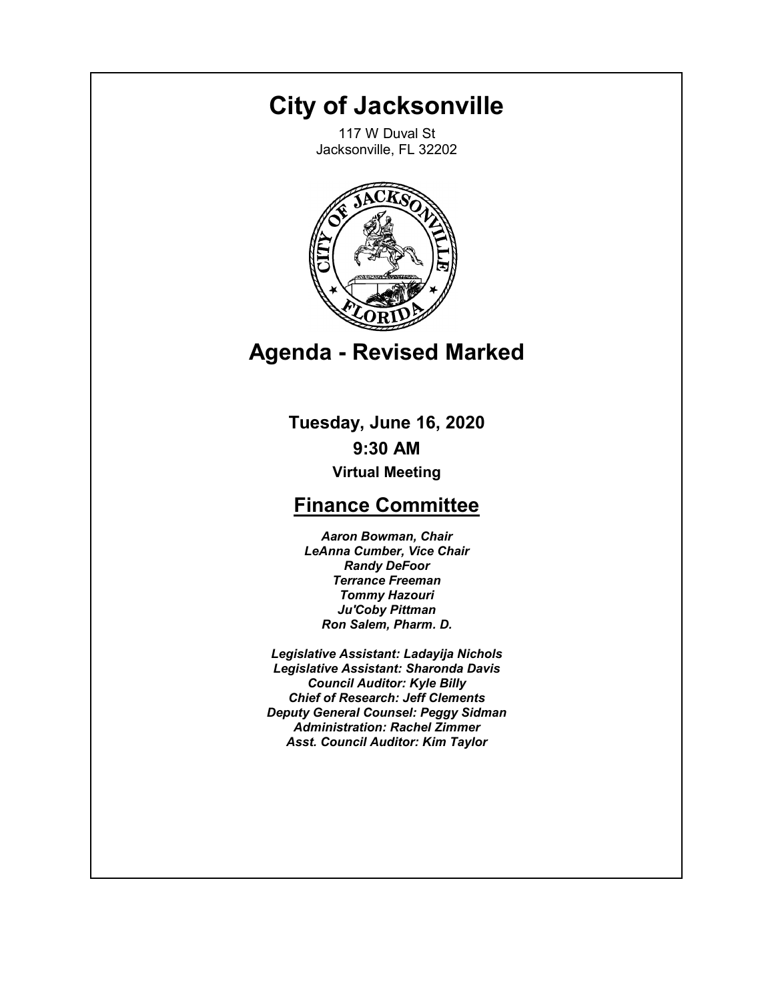# **City of Jacksonville**

117 W Duval St Jacksonville, FL 32202



# **Agenda - Revised Marked**

**Tuesday, June 16, 2020 9:30 AM Virtual Meeting**

# **Finance Committee**

*Aaron Bowman, Chair LeAnna Cumber, Vice Chair Randy DeFoor Terrance Freeman Tommy Hazouri Ju'Coby Pittman Ron Salem, Pharm. D.*

*Legislative Assistant: Ladayija Nichols Legislative Assistant: Sharonda Davis Council Auditor: Kyle Billy Chief of Research: Jeff Clements Deputy General Counsel: Peggy Sidman Administration: Rachel Zimmer Asst. Council Auditor: Kim Taylor*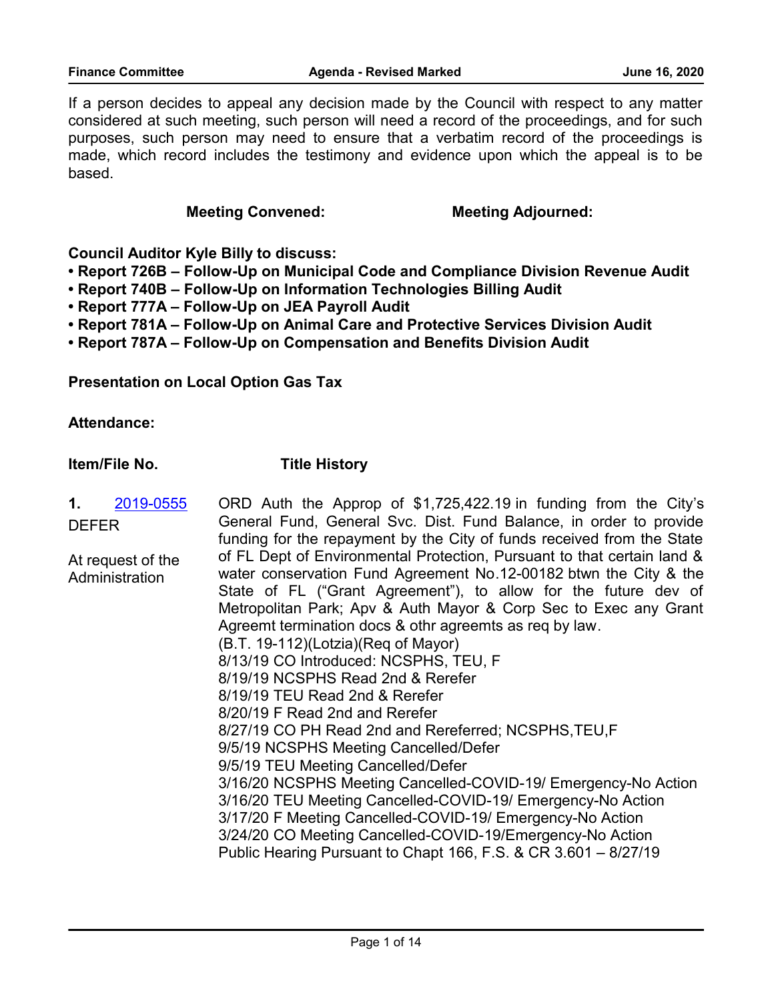If a person decides to appeal any decision made by the Council with respect to any matter considered at such meeting, such person will need a record of the proceedings, and for such purposes, such person may need to ensure that a verbatim record of the proceedings is made, which record includes the testimony and evidence upon which the appeal is to be based.

#### **Meeting Convened:** Meeting Adjourned:

**Council Auditor Kyle Billy to discuss:**

- **Report 726B Follow-Up on Municipal Code and Compliance Division Revenue Audit**
- **Report 740B Follow-Up on Information Technologies Billing Audit**
- **Report 777A Follow-Up on JEA Payroll Audit**
- **Report 781A Follow-Up on Animal Care and Protective Services Division Audit**
- **Report 787A Follow-Up on Compensation and Benefits Division Audit**

**Presentation on Local Option Gas Tax**

**Attendance:**

**Item/File No. Title History**

ORD Auth the Approp of \$1,725,422.19 in funding from the City's General Fund, General Svc. Dist. Fund Balance, in order to provide funding for the repayment by the City of funds received from the State of FL Dept of Environmental Protection, Pursuant to that certain land & water conservation Fund Agreement No.12-00182 btwn the City & the State of FL ("Grant Agreement"), to allow for the future dev of Metropolitan Park; Apv & Auth Mayor & Corp Sec to Exec any Grant Agreemt termination docs & othr agreemts as req by law. (B.T. 19-112)(Lotzia)(Req of Mayor) 8/13/19 CO Introduced: NCSPHS, TEU, F 8/19/19 NCSPHS Read 2nd & Rerefer 8/19/19 TEU Read 2nd & Rerefer 8/20/19 F Read 2nd and Rerefer 8/27/19 CO PH Read 2nd and Rereferred; NCSPHS,TEU,F 9/5/19 NCSPHS Meeting Cancelled/Defer 9/5/19 TEU Meeting Cancelled/Defer 3/16/20 NCSPHS Meeting Cancelled-COVID-19/ Emergency-No Action 3/16/20 TEU Meeting Cancelled-COVID-19/ Emergency-No Action 3/17/20 F Meeting Cancelled-COVID-19/ Emergency-No Action 3/24/20 CO Meeting Cancelled-COVID-19/Emergency-No Action Public Hearing Pursuant to Chapt 166, F.S. & CR 3.601 – 8/27/19 **1.** [2019-0555](http://jaxcityc.legistar.com/gateway.aspx?m=l&id=/matter.aspx?key=1680) DEFER At request of the **Administration**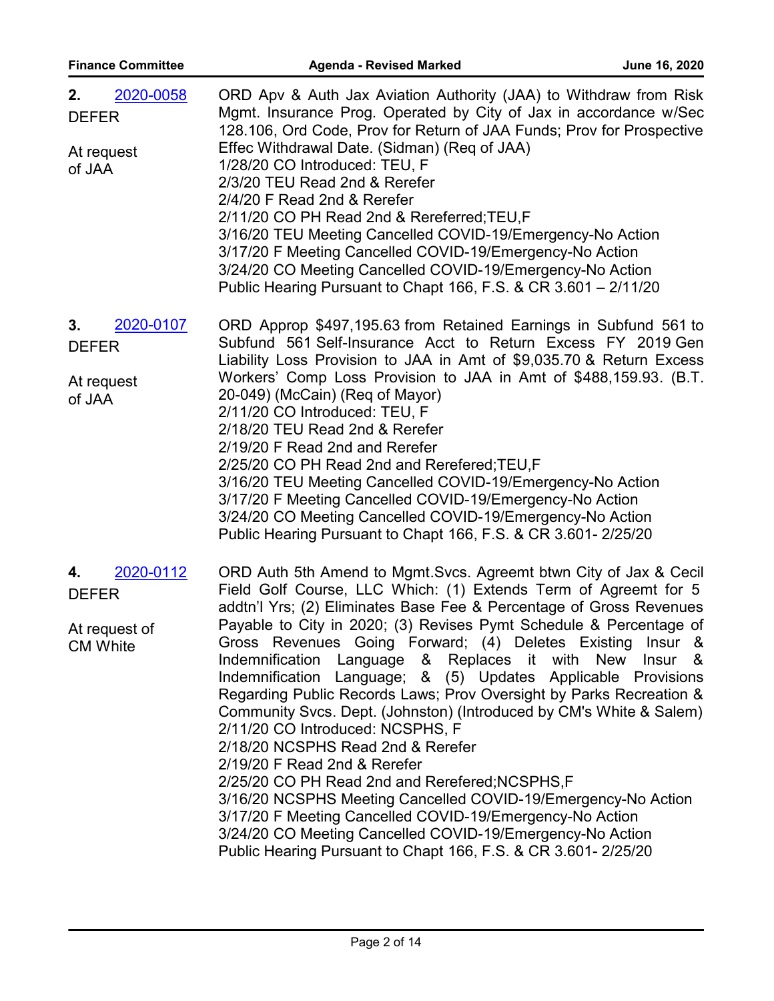| 2020-0058<br>2. | ORD Apv & Auth Jax Aviation Authority (JAA) to Withdraw from Risk     |
|-----------------|-----------------------------------------------------------------------|
| <b>DEFER</b>    | Mgmt. Insurance Prog. Operated by City of Jax in accordance w/Sec     |
|                 | 128.106, Ord Code, Prov for Return of JAA Funds; Prov for Prospective |
| At request      | Effec Withdrawal Date. (Sidman) (Reg of JAA)                          |
| of JAA          | 1/28/20 CO Introduced: TEU, F                                         |
|                 | 2/3/20 TEU Read 2nd & Rerefer                                         |
|                 | 2/4/20 F Read 2nd & Rerefer                                           |
|                 | 2/11/20 CO PH Read 2nd & Rereferred; TEU, F                           |
|                 | 3/16/20 TEU Meeting Cancelled COVID-19/Emergency-No Action            |
|                 | 3/17/20 F Meeting Cancelled COVID-19/Emergency-No Action              |
|                 | 3/24/20 CO Meeting Cancelled COVID-19/Emergency-No Action             |
|                 | Public Hearing Pursuant to Chapt 166, F.S. & CR 3.601 - 2/11/20       |

- ORD Approp \$497,195.63 from Retained Earnings in Subfund 561 to Subfund 561 Self-Insurance Acct to Return Excess FY 2019 Gen Liability Loss Provision to JAA in Amt of \$9,035.70 & Return Excess Workers' Comp Loss Provision to JAA in Amt of \$488,159.93. (B.T. 20-049) (McCain) (Req of Mayor) 2/11/20 CO Introduced: TEU, F 2/18/20 TEU Read 2nd & Rerefer 2/19/20 F Read 2nd and Rerefer 2/25/20 CO PH Read 2nd and Rerefered;TEU,F 3/16/20 TEU Meeting Cancelled COVID-19/Emergency-No Action 3/17/20 F Meeting Cancelled COVID-19/Emergency-No Action 3/24/20 CO Meeting Cancelled COVID-19/Emergency-No Action Public Hearing Pursuant to Chapt 166, F.S. & CR 3.601- 2/25/20 **3.** [2020-0107](http://jaxcityc.legistar.com/gateway.aspx?m=l&id=/matter.aspx?key=2168) DEFER At request of JAA
- ORD Auth 5th Amend to Mgmt.Svcs. Agreemt btwn City of Jax & Cecil Field Golf Course, LLC Which: (1) Extends Term of Agreemt for 5 addtn'l Yrs; (2) Eliminates Base Fee & Percentage of Gross Revenues Payable to City in 2020; (3) Revises Pymt Schedule & Percentage of Gross Revenues Going Forward; (4) Deletes Existing Insur & Indemnification Language & Replaces it with New Insur & Indemnification Language; & (5) Updates Applicable Provisions Regarding Public Records Laws; Prov Oversight by Parks Recreation & Community Svcs. Dept. (Johnston) (Introduced by CM's White & Salem) 2/11/20 CO Introduced: NCSPHS, F 2/18/20 NCSPHS Read 2nd & Rerefer 2/19/20 F Read 2nd & Rerefer 2/25/20 CO PH Read 2nd and Rerefered;NCSPHS,F 3/16/20 NCSPHS Meeting Cancelled COVID-19/Emergency-No Action 3/17/20 F Meeting Cancelled COVID-19/Emergency-No Action 3/24/20 CO Meeting Cancelled COVID-19/Emergency-No Action Public Hearing Pursuant to Chapt 166, F.S. & CR 3.601- 2/25/20 **4.** [2020-0112](http://jaxcityc.legistar.com/gateway.aspx?m=l&id=/matter.aspx?key=2173) DEFER At request of CM White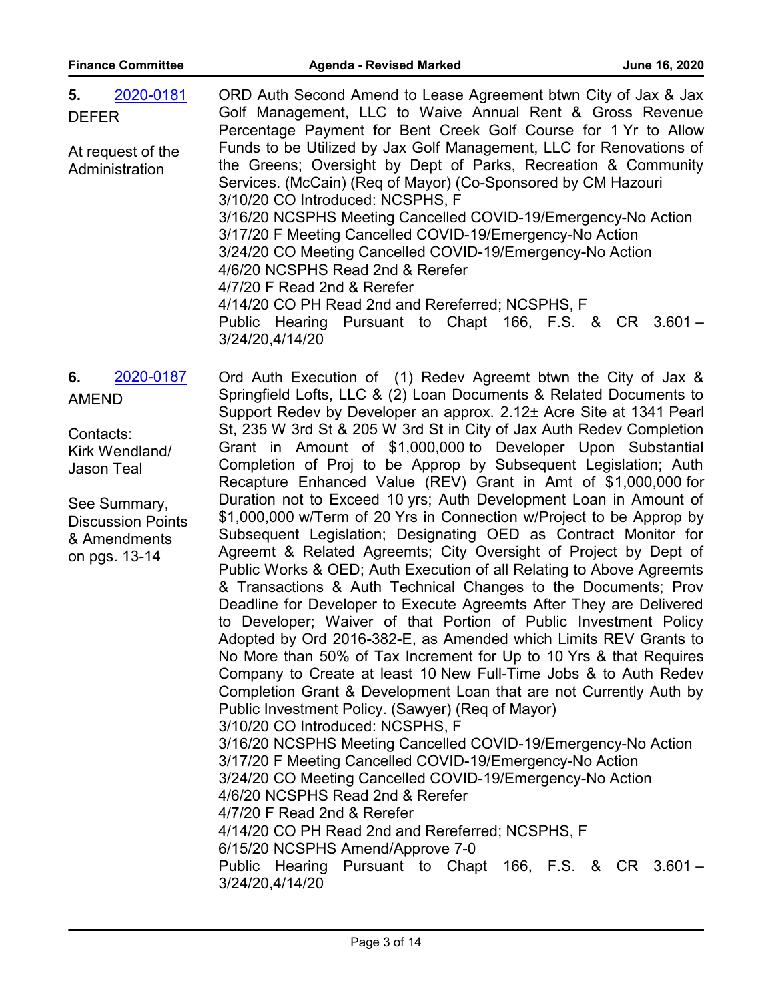| 5.<br>2020-0181   | ORD Auth Second Amend to Lease Agreement btwn City of Jax & Jax     |
|-------------------|---------------------------------------------------------------------|
| <b>DEFER</b>      | Golf Management, LLC to Waive Annual Rent & Gross Revenue           |
|                   | Percentage Payment for Bent Creek Golf Course for 1 Yr to Allow     |
| At request of the | Funds to be Utilized by Jax Golf Management, LLC for Renovations of |
| Administration    | the Greens; Oversight by Dept of Parks, Recreation & Community      |
|                   | Services. (McCain) (Req of Mayor) (Co-Sponsored by CM Hazouri       |
|                   | 3/10/20 CO Introduced: NCSPHS, F                                    |
|                   | 3/16/20 NCSPHS Meeting Cancelled COVID-19/Emergency-No Action       |
|                   | 3/17/20 F Meeting Cancelled COVID-19/Emergency-No Action            |
|                   | 3/24/20 CO Meeting Cancelled COVID-19/Emergency-No Action           |
|                   | 4/6/20 NCSPHS Read 2nd & Rerefer                                    |
|                   | 4/7/20 F Read 2nd & Rerefer                                         |
|                   | 4/14/20 CO PH Read 2nd and Rereferred; NCSPHS, F                    |
|                   | Public Hearing Pursuant to Chapt 166, F.S. & CR 3.601 -             |
|                   | 3/24/20,4/14/20                                                     |
|                   |                                                                     |

Ord Auth Execution of (1) Redev Agreemt btwn the City of Jax & Springfield Lofts, LLC & (2) Loan Documents & Related Documents to Support Redev by Developer an approx. 2.12± Acre Site at 1341 Pearl St, 235 W 3rd St & 205 W 3rd St in City of Jax Auth Redev Completion Grant in Amount of \$1,000,000 to Developer Upon Substantial Completion of Proj to be Approp by Subsequent Legislation; Auth Recapture Enhanced Value (REV) Grant in Amt of \$1,000,000 for Duration not to Exceed 10 yrs; Auth Development Loan in Amount of \$1,000,000 w/Term of 20 Yrs in Connection w/Project to be Approp by Subsequent Legislation; Designating OED as Contract Monitor for Agreemt & Related Agreemts; City Oversight of Project by Dept of Public Works & OED; Auth Execution of all Relating to Above Agreemts & Transactions & Auth Technical Changes to the Documents; Prov Deadline for Developer to Execute Agreemts After They are Delivered to Developer; Waiver of that Portion of Public Investment Policy Adopted by Ord 2016-382-E, as Amended which Limits REV Grants to No More than 50% of Tax Increment for Up to 10 Yrs & that Requires Company to Create at least 10 New Full-Time Jobs & to Auth Redev Completion Grant & Development Loan that are not Currently Auth by Public Investment Policy. (Sawyer) (Req of Mayor) 3/10/20 CO Introduced: NCSPHS, F 3/16/20 NCSPHS Meeting Cancelled COVID-19/Emergency-No Action 3/17/20 F Meeting Cancelled COVID-19/Emergency-No Action 3/24/20 CO Meeting Cancelled COVID-19/Emergency-No Action 4/6/20 NCSPHS Read 2nd & Rerefer 4/7/20 F Read 2nd & Rerefer 4/14/20 CO PH Read 2nd and Rereferred; NCSPHS, F 6/15/20 NCSPHS Amend/Approve 7-0 Public Hearing Pursuant to Chapt 166, F.S. & CR 3.601 – 3/24/20,4/14/20 **6.** [2020-0187](http://jaxcityc.legistar.com/gateway.aspx?m=l&id=/matter.aspx?key=2254) AMEND Contacts: Kirk Wendland/ Jason Teal See Summary, Discussion Points & Amendments on pgs. 13-14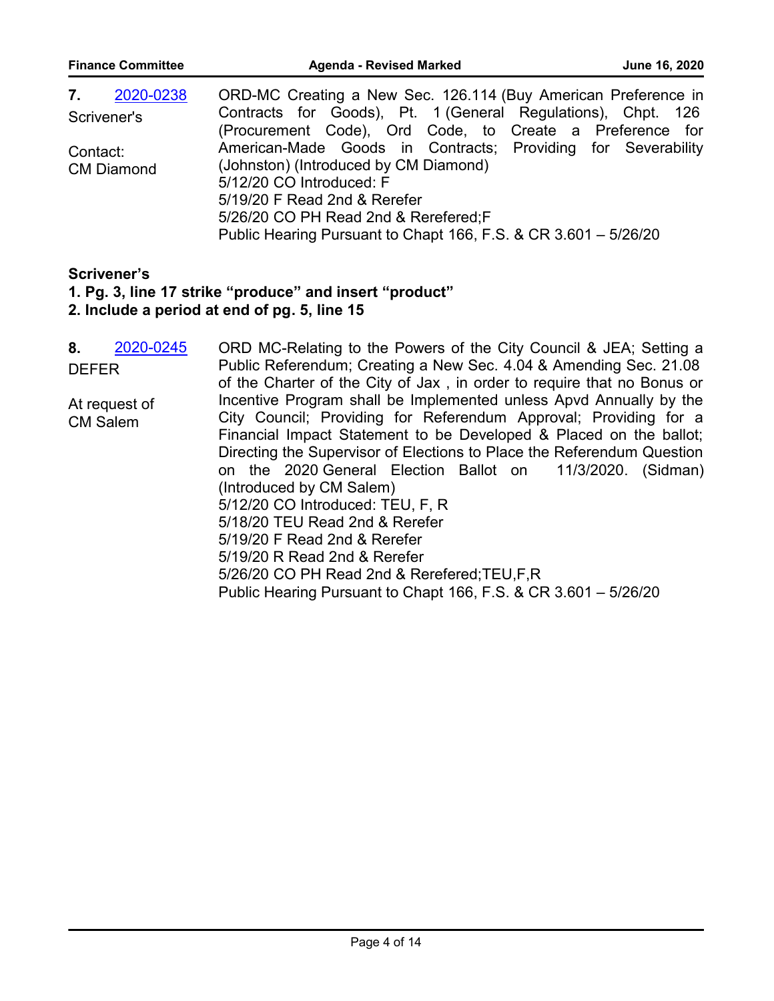| <b>Finance Committee</b> | <b>Agenda - Revised Marked</b><br>June 16, 2020                 |
|--------------------------|-----------------------------------------------------------------|
| 7.<br>2020-0238          | ORD-MC Creating a New Sec. 126.114 (Buy American Preference in  |
| Scrivener's              | Contracts for Goods), Pt. 1 (General Regulations), Chpt. 126    |
|                          | (Procurement Code), Ord Code, to Create a Preference for        |
| Contact:                 | American-Made Goods in Contracts; Providing for Severability    |
| <b>CM Diamond</b>        | (Johnston) (Introduced by CM Diamond)                           |
|                          | 5/12/20 CO Introduced: F                                        |
|                          | 5/19/20 F Read 2nd & Rerefer                                    |
|                          | 5/26/20 CO PH Read 2nd & Rerefered; F                           |
|                          | Public Hearing Pursuant to Chapt 166, F.S. & CR 3.601 - 5/26/20 |

# **Scrivener's**

# **1. Pg. 3, line 17 strike "produce" and insert "product"**

### **2. Include a period at end of pg. 5, line 15**

ORD MC-Relating to the Powers of the City Council & JEA; Setting a Public Referendum; Creating a New Sec. 4.04 & Amending Sec. 21.08 of the Charter of the City of Jax , in order to require that no Bonus or Incentive Program shall be Implemented unless Apvd Annually by the City Council; Providing for Referendum Approval; Providing for a Financial Impact Statement to be Developed & Placed on the ballot; Directing the Supervisor of Elections to Place the Referendum Question on the 2020 General Election Ballot on 11/3/2020. (Sidman) (Introduced by CM Salem) 5/12/20 CO Introduced: TEU, F, R 5/18/20 TEU Read 2nd & Rerefer 5/19/20 F Read 2nd & Rerefer 5/19/20 R Read 2nd & Rerefer 5/26/20 CO PH Read 2nd & Rerefered;TEU,F,R Public Hearing Pursuant to Chapt 166, F.S. & CR 3.601 – 5/26/20 **8.** [2020-0245](http://jaxcityc.legistar.com/gateway.aspx?m=l&id=/matter.aspx?key=2321) DEFER At request of CM Salem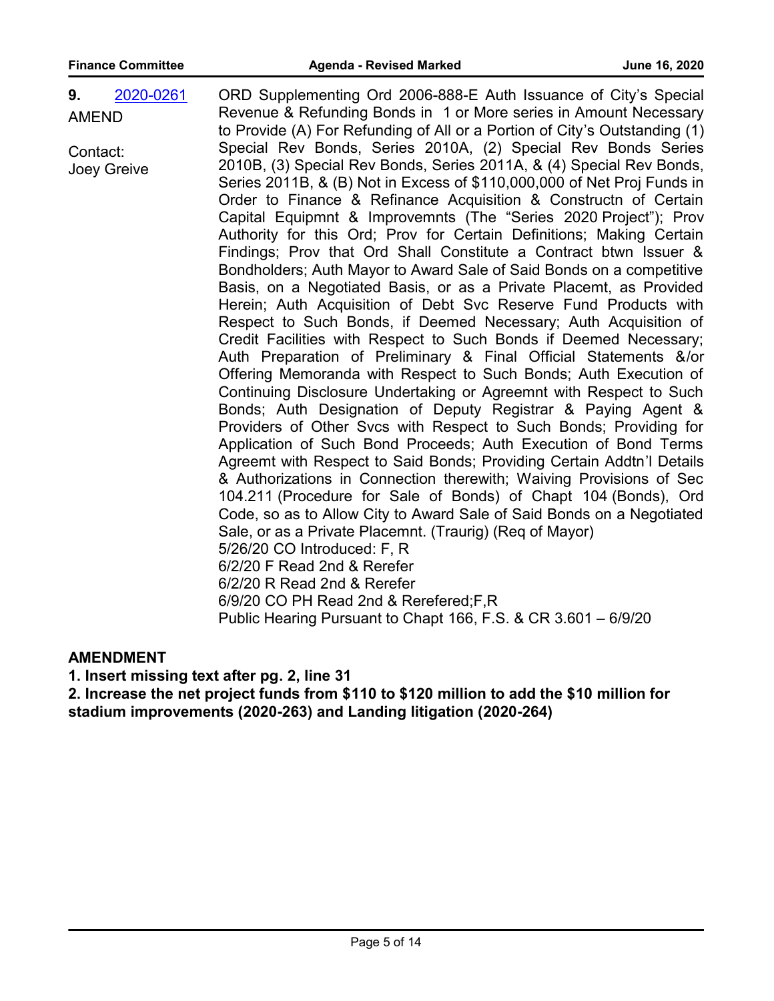| 9.           | 2020-0261 | ORD Supplementing Ord 2006-888-E Auth Issuance of City's Special           |
|--------------|-----------|----------------------------------------------------------------------------|
| <b>AMEND</b> |           | Revenue & Refunding Bonds in 1 or More series in Amount Necessary          |
|              |           | to Provide (A) For Refunding of All or a Portion of City's Outstanding (1) |
| Contact:     |           | Special Rev Bonds, Series 2010A, (2) Special Rev Bonds Series              |
| Joey Greive  |           | 2010B, (3) Special Rev Bonds, Series 2011A, & (4) Special Rev Bonds,       |
|              |           | Series 2011B, & (B) Not in Excess of \$110,000,000 of Net Proj Funds in    |
|              |           | Order to Finance & Refinance Acquisition & Constructn of Certain           |
|              |           | Capital Equipmnt & Improvemnts (The "Series 2020 Project"); Prov           |
|              |           | Authority for this Ord; Prov for Certain Definitions; Making Certain       |
|              |           | Findings; Prov that Ord Shall Constitute a Contract btwn Issuer &          |
|              |           | Bondholders; Auth Mayor to Award Sale of Said Bonds on a competitive       |
|              |           | Basis, on a Negotiated Basis, or as a Private Placemt, as Provided         |
|              |           | Herein; Auth Acquisition of Debt Svc Reserve Fund Products with            |
|              |           | Respect to Such Bonds, if Deemed Necessary; Auth Acquisition of            |
|              |           | Credit Facilities with Respect to Such Bonds if Deemed Necessary;          |
|              |           | Auth Preparation of Preliminary & Final Official Statements &/or           |
|              |           | Offering Memoranda with Respect to Such Bonds; Auth Execution of           |
|              |           | Continuing Disclosure Undertaking or Agreemnt with Respect to Such         |
|              |           | Bonds; Auth Designation of Deputy Registrar & Paying Agent &               |
|              |           | Providers of Other Svcs with Respect to Such Bonds; Providing for          |
|              |           | Application of Such Bond Proceeds; Auth Execution of Bond Terms            |
|              |           | Agreemt with Respect to Said Bonds; Providing Certain Addtn'l Details      |
|              |           | & Authorizations in Connection therewith; Waiving Provisions of Sec        |
|              |           | 104.211 (Procedure for Sale of Bonds) of Chapt 104 (Bonds), Ord            |
|              |           | Code, so as to Allow City to Award Sale of Said Bonds on a Negotiated      |
|              |           | Sale, or as a Private Placemnt. (Traurig) (Req of Mayor)                   |
|              |           | 5/26/20 CO Introduced: F, R                                                |
|              |           | 6/2/20 F Read 2nd & Rerefer                                                |
|              |           | 6/2/20 R Read 2nd & Rerefer                                                |
|              |           | 6/9/20 CO PH Read 2nd & Rerefered; F, R                                    |
|              |           | Public Hearing Pursuant to Chapt 166, F.S. & CR 3.601 - 6/9/20             |

#### **AMENDMENT**

**1. Insert missing text after pg. 2, line 31**

**2. Increase the net project funds from \$110 to \$120 million to add the \$10 million for stadium improvements (2020-263) and Landing litigation (2020-264)**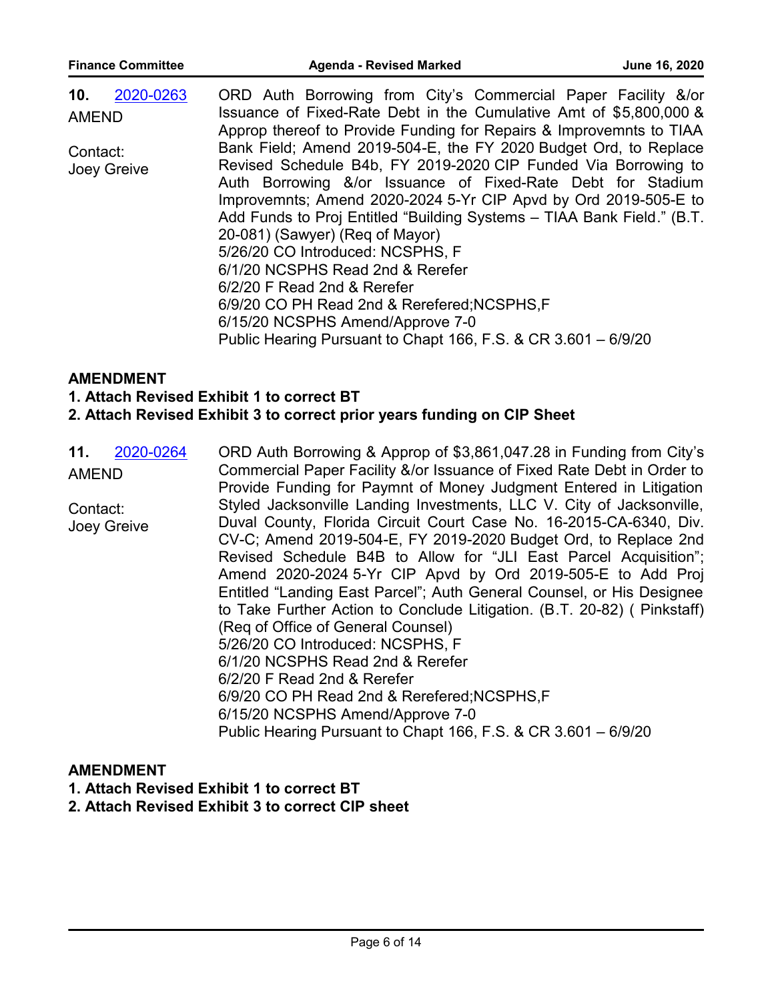| 2020-0263<br>10. | ORD Auth Borrowing from City's Commercial Paper Facility &/or          |
|------------------|------------------------------------------------------------------------|
| <b>AMEND</b>     | Issuance of Fixed-Rate Debt in the Cumulative Amt of \$5,800,000 &     |
|                  | Approp thereof to Provide Funding for Repairs & Improvemnts to TIAA    |
| Contact:         | Bank Field; Amend 2019-504-E, the FY 2020 Budget Ord, to Replace       |
| Joey Greive      | Revised Schedule B4b, FY 2019-2020 CIP Funded Via Borrowing to         |
|                  | Auth Borrowing &/or Issuance of Fixed-Rate Debt for Stadium            |
|                  | Improvemnts; Amend 2020-2024 5-Yr CIP Apvd by Ord 2019-505-E to        |
|                  | Add Funds to Proj Entitled "Building Systems - TIAA Bank Field." (B.T. |
|                  | 20-081) (Sawyer) (Reg of Mayor)                                        |
|                  | 5/26/20 CO Introduced: NCSPHS, F                                       |
|                  | 6/1/20 NCSPHS Read 2nd & Rerefer                                       |
|                  | 6/2/20 F Read 2nd & Rerefer                                            |
|                  | 6/9/20 CO PH Read 2nd & Rerefered; NCSPHS, F                           |
|                  | 6/15/20 NCSPHS Amend/Approve 7-0                                       |
|                  | Public Hearing Pursuant to Chapt 166, F.S. & CR 3.601 - 6/9/20         |

#### **AMENDMENT**

**1. Attach Revised Exhibit 1 to correct BT**

#### **2. Attach Revised Exhibit 3 to correct prior years funding on CIP Sheet**

ORD Auth Borrowing & Approp of \$3,861,047.28 in Funding from City's Commercial Paper Facility &/or Issuance of Fixed Rate Debt in Order to Provide Funding for Paymnt of Money Judgment Entered in Litigation Styled Jacksonville Landing Investments, LLC V. City of Jacksonville, Duval County, Florida Circuit Court Case No. 16-2015-CA-6340, Div. CV-C; Amend 2019-504-E, FY 2019-2020 Budget Ord, to Replace 2nd Revised Schedule B4B to Allow for "JLI East Parcel Acquisition"; Amend 2020-2024 5-Yr CIP Apvd by Ord 2019-505-E to Add Proj Entitled "Landing East Parcel"; Auth General Counsel, or His Designee to Take Further Action to Conclude Litigation. (B.T. 20-82) ( Pinkstaff) (Req of Office of General Counsel) 5/26/20 CO Introduced: NCSPHS, F 6/1/20 NCSPHS Read 2nd & Rerefer 6/2/20 F Read 2nd & Rerefer 6/9/20 CO PH Read 2nd & Rerefered;NCSPHS,F 6/15/20 NCSPHS Amend/Approve 7-0 Public Hearing Pursuant to Chapt 166, F.S. & CR 3.601 – 6/9/20 **11.** [2020-0264](http://jaxcityc.legistar.com/gateway.aspx?m=l&id=/matter.aspx?key=2342) AMEND Contact: Joey Greive

#### **AMENDMENT**

**1. Attach Revised Exhibit 1 to correct BT**

#### **2. Attach Revised Exhibit 3 to correct CIP sheet**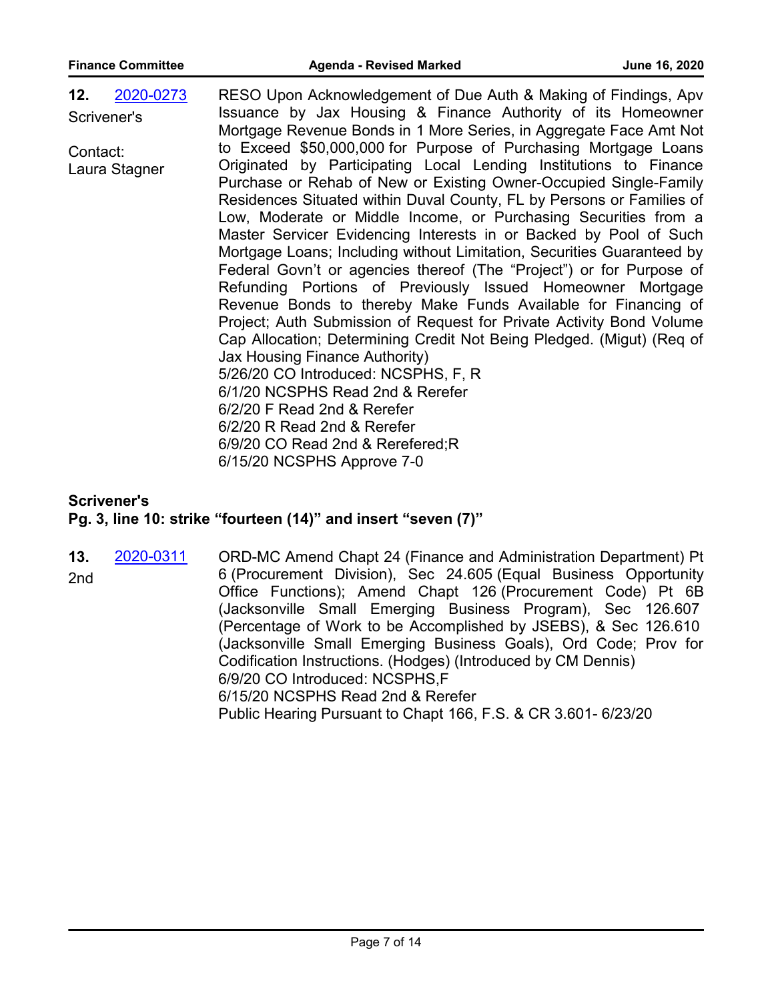| 2020-0273<br>12. | RESO Upon Acknowledgement of Due Auth & Making of Findings, Apv                                                                    |
|------------------|------------------------------------------------------------------------------------------------------------------------------------|
| Scrivener's      | Issuance by Jax Housing & Finance Authority of its Homeowner                                                                       |
|                  | Mortgage Revenue Bonds in 1 More Series, in Aggregate Face Amt Not                                                                 |
| Contact:         | to Exceed \$50,000,000 for Purpose of Purchasing Mortgage Loans                                                                    |
| Laura Stagner    | Originated by Participating Local Lending Institutions to Finance                                                                  |
|                  | Purchase or Rehab of New or Existing Owner-Occupied Single-Family                                                                  |
|                  | Residences Situated within Duval County, FL by Persons or Families of                                                              |
|                  | Low, Moderate or Middle Income, or Purchasing Securities from a                                                                    |
|                  | Master Servicer Evidencing Interests in or Backed by Pool of Such                                                                  |
|                  | Mortgage Loans; Including without Limitation, Securities Guaranteed by                                                             |
|                  | Federal Govn't or agencies thereof (The "Project") or for Purpose of<br>Refunding Portions of Previously Issued Homeowner Mortgage |
|                  | Revenue Bonds to thereby Make Funds Available for Financing of                                                                     |
|                  | Project; Auth Submission of Request for Private Activity Bond Volume                                                               |
|                  | Cap Allocation; Determining Credit Not Being Pledged. (Migut) (Req of                                                              |
|                  | Jax Housing Finance Authority)                                                                                                     |
|                  | 5/26/20 CO Introduced: NCSPHS, F, R                                                                                                |
|                  | 6/1/20 NCSPHS Read 2nd & Rerefer                                                                                                   |
|                  | 6/2/20 F Read 2nd & Rerefer                                                                                                        |
|                  | 6/2/20 R Read 2nd & Rerefer                                                                                                        |
|                  | 6/9/20 CO Read 2nd & Rerefered; R                                                                                                  |
|                  | 6/15/20 NCSPHS Approve 7-0                                                                                                         |
|                  |                                                                                                                                    |

#### **Scrivener's**

#### **Pg. 3, line 10: strike "fourteen (14)" and insert "seven (7)"**

ORD-MC Amend Chapt 24 (Finance and Administration Department) Pt 6 (Procurement Division), Sec 24.605 (Equal Business Opportunity Office Functions); Amend Chapt 126 (Procurement Code) Pt 6B (Jacksonville Small Emerging Business Program), Sec 126.607 (Percentage of Work to be Accomplished by JSEBS), & Sec 126.610 (Jacksonville Small Emerging Business Goals), Ord Code; Prov for Codification Instructions. (Hodges) (Introduced by CM Dennis) 6/9/20 CO Introduced: NCSPHS,F 6/15/20 NCSPHS Read 2nd & Rerefer Public Hearing Pursuant to Chapt 166, F.S. & CR 3.601- 6/23/20 **13.** [2020-0311](http://jaxcityc.legistar.com/gateway.aspx?m=l&id=/matter.aspx?key=2391) 2nd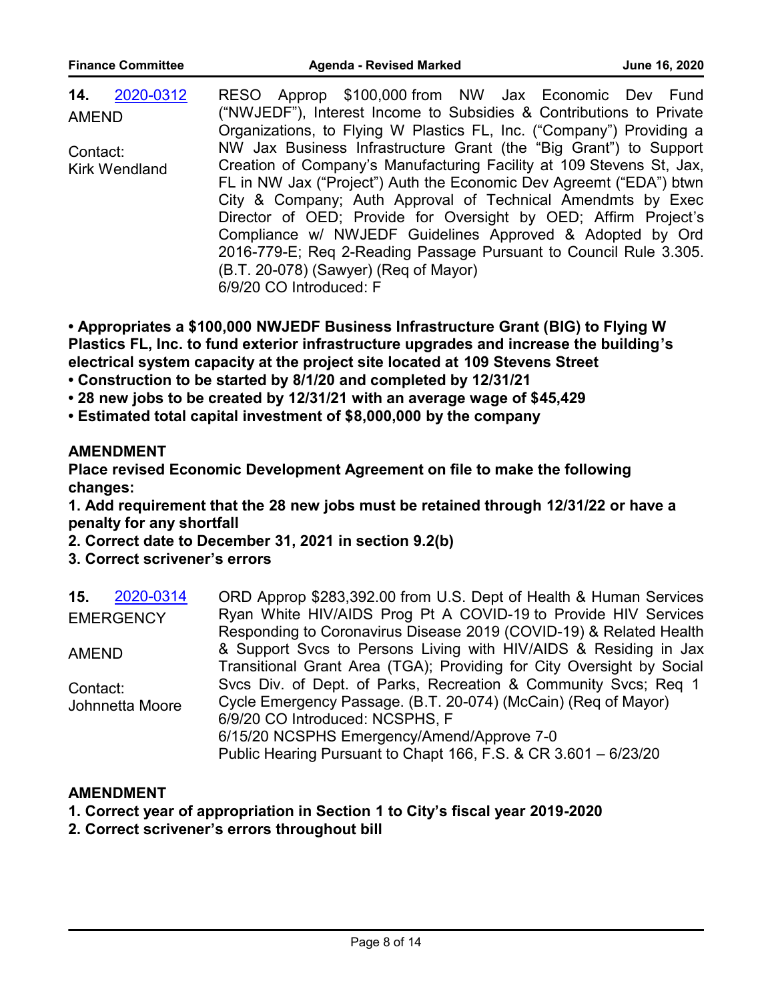| 2020-0312<br>14.     | RESO Approp \$100,000 from NW Jax Economic Dev Fund                  |
|----------------------|----------------------------------------------------------------------|
| <b>AMEND</b>         | ("NWJEDF"), Interest Income to Subsidies & Contributions to Private  |
|                      | Organizations, to Flying W Plastics FL, Inc. ("Company") Providing a |
| Contact:             | NW Jax Business Infrastructure Grant (the "Big Grant") to Support    |
| <b>Kirk Wendland</b> | Creation of Company's Manufacturing Facility at 109 Stevens St, Jax, |
|                      | FL in NW Jax ("Project") Auth the Economic Dev Agreemt ("EDA") btwn  |
|                      | City & Company; Auth Approval of Technical Amendmts by Exec          |
|                      | Director of OED; Provide for Oversight by OED; Affirm Project's      |
|                      | Compliance w/ NWJEDF Guidelines Approved & Adopted by Ord            |
|                      | 2016-779-E; Req 2-Reading Passage Pursuant to Council Rule 3.305.    |
|                      | (B.T. 20-078) (Sawyer) (Req of Mayor)                                |
|                      | 6/9/20 CO Introduced: F                                              |

**• Appropriates a \$100,000 NWJEDF Business Infrastructure Grant (BIG) to Flying W Plastics FL, Inc. to fund exterior infrastructure upgrades and increase the building's electrical system capacity at the project site located at 109 Stevens Street**

- **Construction to be started by 8/1/20 and completed by 12/31/21**
- **28 new jobs to be created by 12/31/21 with an average wage of \$45,429**
- **Estimated total capital investment of \$8,000,000 by the company**

#### **AMENDMENT**

**Place revised Economic Development Agreement on file to make the following changes:**

**1. Add requirement that the 28 new jobs must be retained through 12/31/22 or have a penalty for any shortfall**

**2. Correct date to December 31, 2021 in section 9.2(b)**

**3. Correct scrivener's errors**

| 2020-0314<br>15. | ORD Approp \$283,392.00 from U.S. Dept of Health & Human Services     |
|------------------|-----------------------------------------------------------------------|
| <b>EMERGENCY</b> | Ryan White HIV/AIDS Prog Pt A COVID-19 to Provide HIV Services        |
|                  | Responding to Coronavirus Disease 2019 (COVID-19) & Related Health    |
| <b>AMEND</b>     | & Support Svcs to Persons Living with HIV/AIDS & Residing in Jax      |
|                  | Transitional Grant Area (TGA); Providing for City Oversight by Social |
| Contact:         | Svcs Div. of Dept. of Parks, Recreation & Community Svcs; Req 1       |
| Johnnetta Moore  | Cycle Emergency Passage. (B.T. 20-074) (McCain) (Req of Mayor)        |
|                  | 6/9/20 CO Introduced: NCSPHS, F                                       |
|                  | 6/15/20 NCSPHS Emergency/Amend/Approve 7-0                            |
|                  | Public Hearing Pursuant to Chapt 166, F.S. & CR 3.601 - 6/23/20       |

#### **AMENDMENT**

- **1. Correct year of appropriation in Section 1 to City's fiscal year 2019-2020**
- **2. Correct scrivener's errors throughout bill**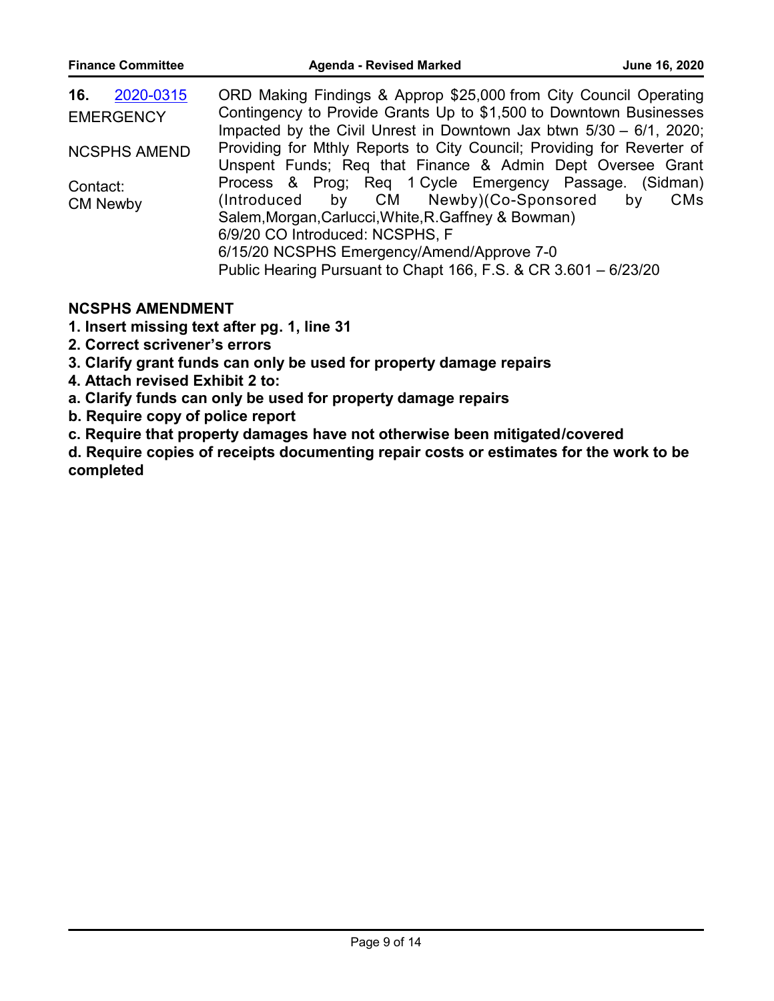| <b>Finance Committee</b>             | <b>Agenda - Revised Marked</b>                                                                                                                                                                                                                                                                               | June 16, 2020    |
|--------------------------------------|--------------------------------------------------------------------------------------------------------------------------------------------------------------------------------------------------------------------------------------------------------------------------------------------------------------|------------------|
| 2020-0315<br>16.<br><b>EMERGENCY</b> | ORD Making Findings & Approp \$25,000 from City Council Operating<br>Contingency to Provide Grants Up to \$1,500 to Downtown Businesses<br>Impacted by the Civil Unrest in Downtown Jax btwn $5/30 - 6/1$ , 2020;                                                                                            |                  |
| <b>NCSPHS AMEND</b>                  | Providing for Mthly Reports to City Council; Providing for Reverter of<br>Unspent Funds; Req that Finance & Admin Dept Oversee Grant                                                                                                                                                                         |                  |
| Contact:<br><b>CM Newby</b>          | Process & Prog; Req 1 Cycle Emergency Passage. (Sidman)<br>(Introduced by CM Newby)(Co-Sponsored<br>Salem, Morgan, Carlucci, White, R. Gaffney & Bowman)<br>6/9/20 CO Introduced: NCSPHS, F<br>6/15/20 NCSPHS Emergency/Amend/Approve 7-0<br>Public Hearing Pursuant to Chapt 166, F.S. & CR 3.601 - 6/23/20 | <b>CMs</b><br>by |

# **NCSPHS AMENDMENT**

**1. Insert missing text after pg. 1, line 31**

- **2. Correct scrivener's errors**
- **3. Clarify grant funds can only be used for property damage repairs**
- **4. Attach revised Exhibit 2 to:**
- **a. Clarify funds can only be used for property damage repairs**
- **b. Require copy of police report**
- **c. Require that property damages have not otherwise been mitigated/covered**

**d. Require copies of receipts documenting repair costs or estimates for the work to be completed**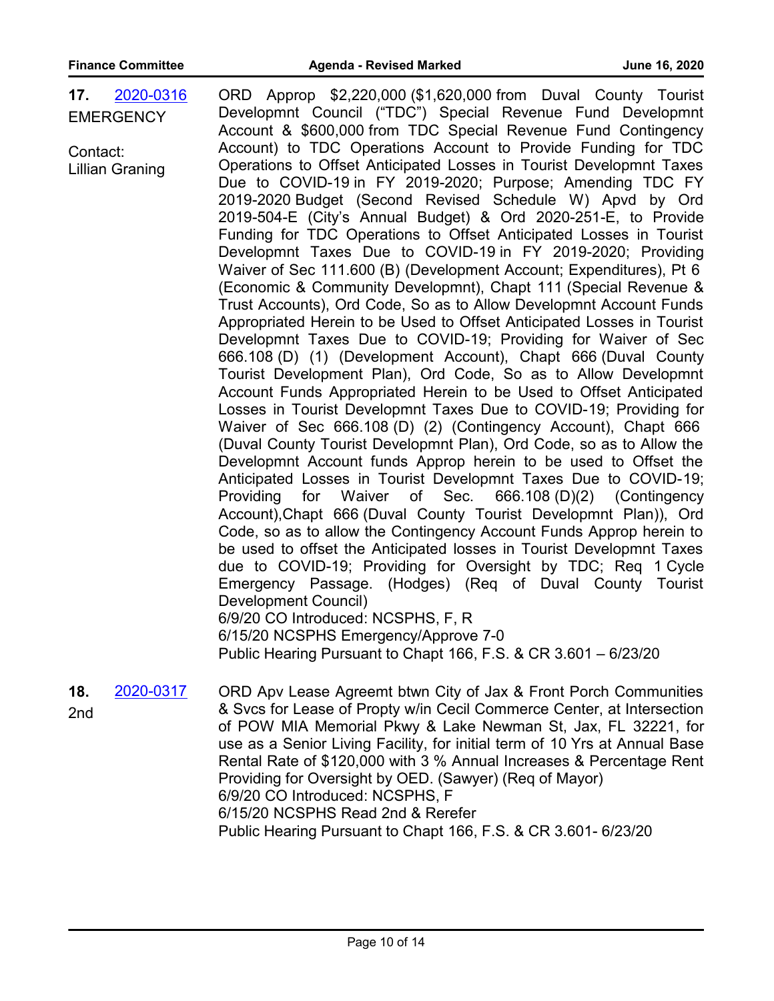| 17.<br>Contact: | 2020-0316<br><b>EMERGENCY</b><br><b>Lillian Graning</b> | ORD Approp \$2,220,000 (\$1,620,000 from Duval County Tourist<br>Developmnt Council ("TDC") Special Revenue Fund Developmnt<br>Account & \$600,000 from TDC Special Revenue Fund Contingency<br>Account) to TDC Operations Account to Provide Funding for TDC<br>Operations to Offset Anticipated Losses in Tourist Developmnt Taxes<br>Due to COVID-19 in FY 2019-2020; Purpose; Amending TDC FY<br>2019-2020 Budget (Second Revised Schedule W) Apvd by Ord<br>2019-504-E (City's Annual Budget) & Ord 2020-251-E, to Provide<br>Funding for TDC Operations to Offset Anticipated Losses in Tourist<br>Developmnt Taxes Due to COVID-19 in FY 2019-2020; Providing<br>Waiver of Sec 111.600 (B) (Development Account; Expenditures), Pt 6<br>(Economic & Community Developmnt), Chapt 111 (Special Revenue &<br>Trust Accounts), Ord Code, So as to Allow Developmnt Account Funds<br>Appropriated Herein to be Used to Offset Anticipated Losses in Tourist<br>Developmnt Taxes Due to COVID-19; Providing for Waiver of Sec<br>666.108 (D) (1) (Development Account), Chapt 666 (Duval County<br>Tourist Development Plan), Ord Code, So as to Allow Developmnt<br>Account Funds Appropriated Herein to be Used to Offset Anticipated<br>Losses in Tourist Developmnt Taxes Due to COVID-19; Providing for<br>Waiver of Sec 666.108 (D) (2) (Contingency Account), Chapt 666<br>(Duval County Tourist Developmnt Plan), Ord Code, so as to Allow the<br>Developmnt Account funds Approp herein to be used to Offset the<br>Anticipated Losses in Tourist Developmnt Taxes Due to COVID-19;<br>of Sec.<br>666.108 (D)(2) (Contingency<br>Providing<br>for<br>Waiver<br>Account), Chapt 666 (Duval County Tourist Developmnt Plan)), Ord<br>Code, so as to allow the Contingency Account Funds Approp herein to<br>be used to offset the Anticipated losses in Tourist Developmnt Taxes<br>due to COVID-19; Providing for Oversight by TDC; Req 1 Cycle<br>Emergency Passage. (Hodges) (Req of Duval County Tourist<br>Development Council)<br>6/9/20 CO Introduced: NCSPHS, F, R<br>6/15/20 NCSPHS Emergency/Approve 7-0<br>Public Hearing Pursuant to Chapt 166, F.S. & CR 3.601 - 6/23/20 |
|-----------------|---------------------------------------------------------|------------------------------------------------------------------------------------------------------------------------------------------------------------------------------------------------------------------------------------------------------------------------------------------------------------------------------------------------------------------------------------------------------------------------------------------------------------------------------------------------------------------------------------------------------------------------------------------------------------------------------------------------------------------------------------------------------------------------------------------------------------------------------------------------------------------------------------------------------------------------------------------------------------------------------------------------------------------------------------------------------------------------------------------------------------------------------------------------------------------------------------------------------------------------------------------------------------------------------------------------------------------------------------------------------------------------------------------------------------------------------------------------------------------------------------------------------------------------------------------------------------------------------------------------------------------------------------------------------------------------------------------------------------------------------------------------------------------------------------------------------------------------------------------------------------------------------------------------------------------------------------------------------------------------------------------------------------------------------------------------------------------------------------------------------------------------------------------------------------------------------------------------------------------------------------------------|
| 18.<br>2nd      | 2020-0317                                               | ORD Apv Lease Agreemt btwn City of Jax & Front Porch Communities<br>& Svcs for Lease of Propty w/in Cecil Commerce Center, at Intersection<br>of POW MIA Memorial Pkwy & Lake Newman St, Jax, FL 32221, for<br>use as a Senior Living Facility, for initial term of 10 Yrs at Annual Base<br>Rental Rate of \$120,000 with 3 % Annual Increases & Percentage Rent                                                                                                                                                                                                                                                                                                                                                                                                                                                                                                                                                                                                                                                                                                                                                                                                                                                                                                                                                                                                                                                                                                                                                                                                                                                                                                                                                                                                                                                                                                                                                                                                                                                                                                                                                                                                                              |

Providing for Oversight by OED. (Sawyer) (Req of Mayor)

6/9/20 CO Introduced: NCSPHS, F

6/15/20 NCSPHS Read 2nd & Rerefer

Public Hearing Pursuant to Chapt 166, F.S. & CR 3.601- 6/23/20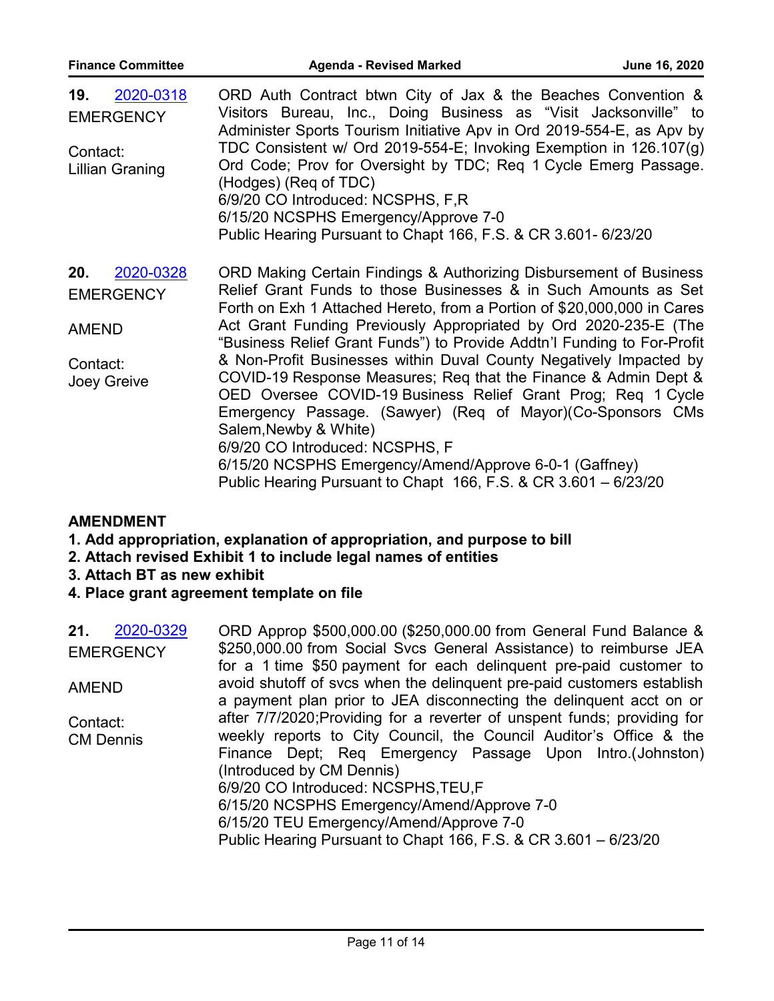| <b>Finance Committee</b>                                                        | <b>Agenda - Revised Marked</b>                                                                                                                                                                                                                                                                                                                                                                                                                                                                                                                                                                                                                                                                                                                                                                                                   | June 16, 2020 |
|---------------------------------------------------------------------------------|----------------------------------------------------------------------------------------------------------------------------------------------------------------------------------------------------------------------------------------------------------------------------------------------------------------------------------------------------------------------------------------------------------------------------------------------------------------------------------------------------------------------------------------------------------------------------------------------------------------------------------------------------------------------------------------------------------------------------------------------------------------------------------------------------------------------------------|---------------|
| 2020-0318<br>19.<br><b>EMERGENCY</b><br>Contact:<br><b>Lillian Graning</b>      | ORD Auth Contract btwn City of Jax & the Beaches Convention &<br>Visitors Bureau, Inc., Doing Business as "Visit Jacksonville" to<br>Administer Sports Tourism Initiative Apv in Ord 2019-554-E, as Apv by<br>TDC Consistent w/ Ord 2019-554-E; Invoking Exemption in 126.107(g)<br>Ord Code; Prov for Oversight by TDC; Req 1 Cycle Emerg Passage.<br>(Hodges) (Req of TDC)<br>6/9/20 CO Introduced: NCSPHS, F,R<br>6/15/20 NCSPHS Emergency/Approve 7-0<br>Public Hearing Pursuant to Chapt 166, F.S. & CR 3.601- 6/23/20                                                                                                                                                                                                                                                                                                      |               |
| 2020-0328<br>20.<br><b>EMERGENCY</b><br><b>AMEND</b><br>Contact:<br>Joey Greive | ORD Making Certain Findings & Authorizing Disbursement of Business<br>Relief Grant Funds to those Businesses & in Such Amounts as Set<br>Forth on Exh 1 Attached Hereto, from a Portion of \$20,000,000 in Cares<br>Act Grant Funding Previously Appropriated by Ord 2020-235-E (The<br>"Business Relief Grant Funds") to Provide Addtn'l Funding to For-Profit<br>& Non-Profit Businesses within Duval County Negatively Impacted by<br>COVID-19 Response Measures; Req that the Finance & Admin Dept &<br>OED Oversee COVID-19 Business Relief Grant Prog; Req 1 Cycle<br>Emergency Passage. (Sawyer) (Req of Mayor) (Co-Sponsors CMs<br>Salem, Newby & White)<br>6/9/20 CO Introduced: NCSPHS, F<br>6/15/20 NCSPHS Emergency/Amend/Approve 6-0-1 (Gaffney)<br>Public Hearing Pursuant to Chapt 166, F.S. & CR 3.601 - 6/23/20 |               |

# **AMENDMENT**

**1. Add appropriation, explanation of appropriation, and purpose to bill**

- **2. Attach revised Exhibit 1 to include legal names of entities**
- **3. Attach BT as new exhibit**
- **4. Place grant agreement template on file**

| 2020-0329<br>21.<br><b>EMERGENCY</b> | ORD Approp \$500,000.00 (\$250,000.00 from General Fund Balance &<br>\$250,000.00 from Social Svcs General Assistance) to reimburse JEA                                                                                                                                                                                                                                                                                                                                                                              |
|--------------------------------------|----------------------------------------------------------------------------------------------------------------------------------------------------------------------------------------------------------------------------------------------------------------------------------------------------------------------------------------------------------------------------------------------------------------------------------------------------------------------------------------------------------------------|
| <b>AMEND</b>                         | for a 1 time \$50 payment for each delinquent pre-paid customer to<br>avoid shutoff of svcs when the delinguent pre-paid customers establish                                                                                                                                                                                                                                                                                                                                                                         |
| Contact:<br><b>CM Dennis</b>         | a payment plan prior to JEA disconnecting the delinguent acct on or<br>after 7/7/2020; Providing for a reverter of unspent funds; providing for<br>weekly reports to City Council, the Council Auditor's Office & the<br>Finance Dept; Req Emergency Passage Upon Intro. (Johnston)<br>(Introduced by CM Dennis)<br>6/9/20 CO Introduced: NCSPHS, TEU, F<br>6/15/20 NCSPHS Emergency/Amend/Approve 7-0<br>6/15/20 TEU Emergency/Amend/Approve 7-0<br>Public Hearing Pursuant to Chapt 166, F.S. & CR 3.601 - 6/23/20 |
|                                      |                                                                                                                                                                                                                                                                                                                                                                                                                                                                                                                      |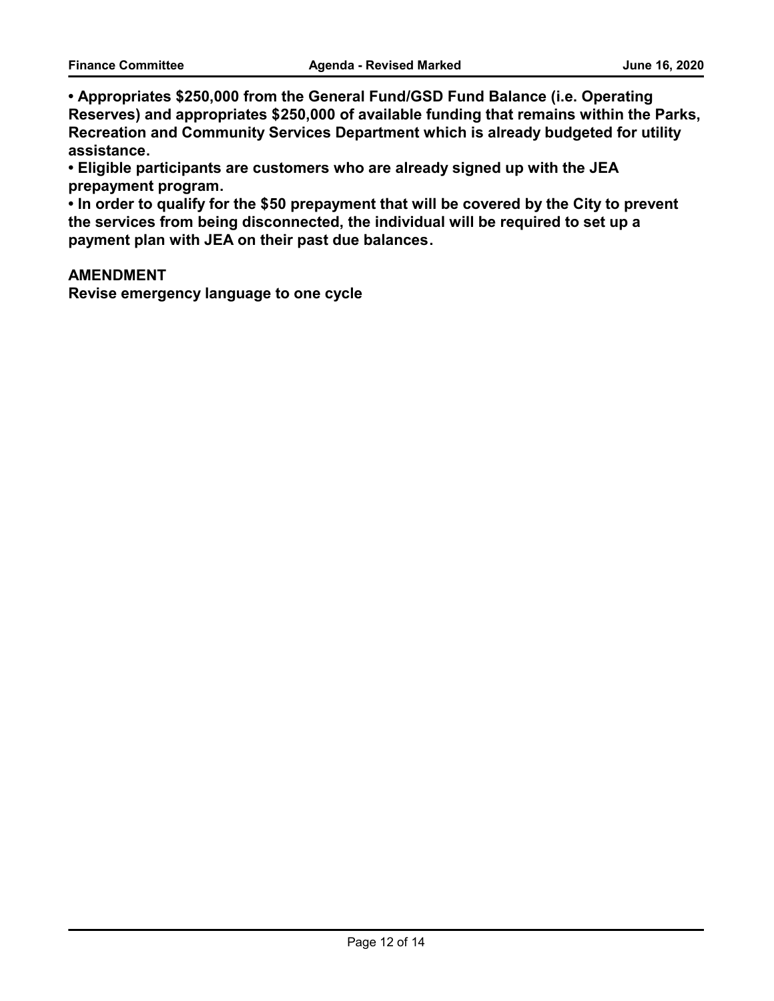**• Appropriates \$250,000 from the General Fund/GSD Fund Balance (i.e. Operating Reserves) and appropriates \$250,000 of available funding that remains within the Parks, Recreation and Community Services Department which is already budgeted for utility assistance.**

**• Eligible participants are customers who are already signed up with the JEA prepayment program.** 

**• In order to qualify for the \$50 prepayment that will be covered by the City to prevent the services from being disconnected, the individual will be required to set up a payment plan with JEA on their past due balances.** 

#### **AMENDMENT**

**Revise emergency language to one cycle**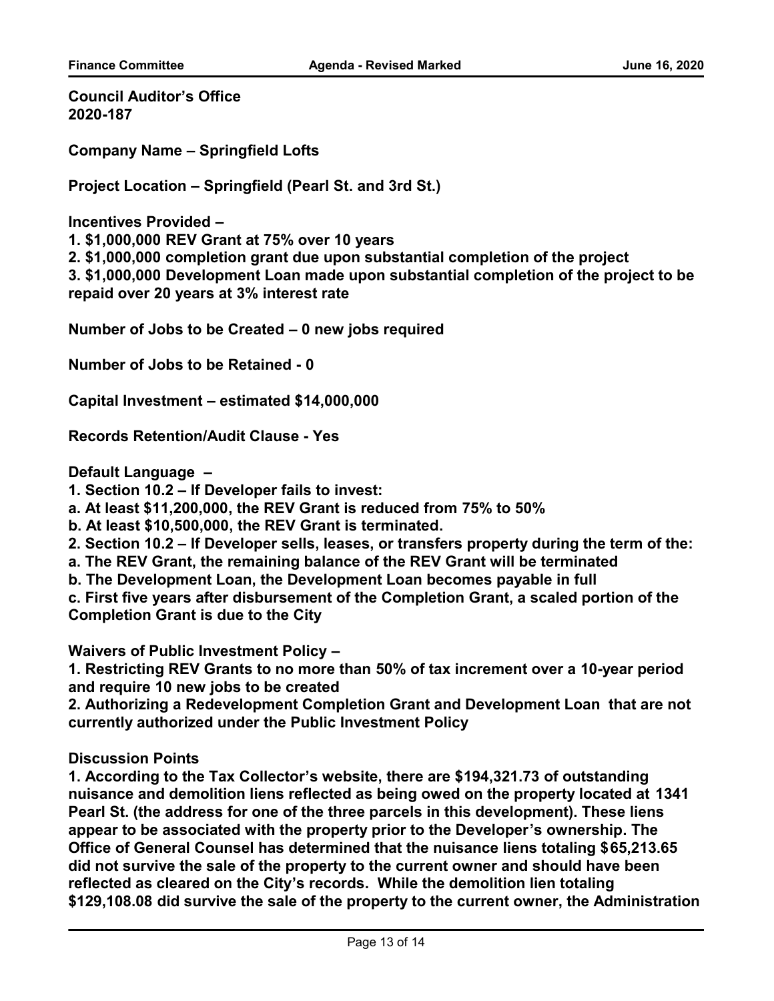**Council Auditor's Office 2020-187**

**Company Name – Springfield Lofts**

**Project Location – Springfield (Pearl St. and 3rd St.)**

**Incentives Provided –** 

**1. \$1,000,000 REV Grant at 75% over 10 years**

**2. \$1,000,000 completion grant due upon substantial completion of the project**

**3. \$1,000,000 Development Loan made upon substantial completion of the project to be repaid over 20 years at 3% interest rate**

**Number of Jobs to be Created – 0 new jobs required**

**Number of Jobs to be Retained - 0**

**Capital Investment – estimated \$14,000,000**

**Records Retention/Audit Clause - Yes**

**Default Language –** 

**1. Section 10.2 – If Developer fails to invest:**

**a. At least \$11,200,000, the REV Grant is reduced from 75% to 50%**

**b. At least \$10,500,000, the REV Grant is terminated.** 

**2. Section 10.2 – If Developer sells, leases, or transfers property during the term of the:** 

**a. The REV Grant, the remaining balance of the REV Grant will be terminated**

**b. The Development Loan, the Development Loan becomes payable in full**

**c. First five years after disbursement of the Completion Grant, a scaled portion of the Completion Grant is due to the City** 

**Waivers of Public Investment Policy –** 

**1. Restricting REV Grants to no more than 50% of tax increment over a 10-year period and require 10 new jobs to be created** 

**2. Authorizing a Redevelopment Completion Grant and Development Loan that are not currently authorized under the Public Investment Policy**

**Discussion Points**

**1. According to the Tax Collector's website, there are \$194,321.73 of outstanding nuisance and demolition liens reflected as being owed on the property located at 1341 Pearl St. (the address for one of the three parcels in this development). These liens appear to be associated with the property prior to the Developer's ownership. The Office of General Counsel has determined that the nuisance liens totaling \$65,213.65 did not survive the sale of the property to the current owner and should have been reflected as cleared on the City's records. While the demolition lien totaling \$129,108.08 did survive the sale of the property to the current owner, the Administration**